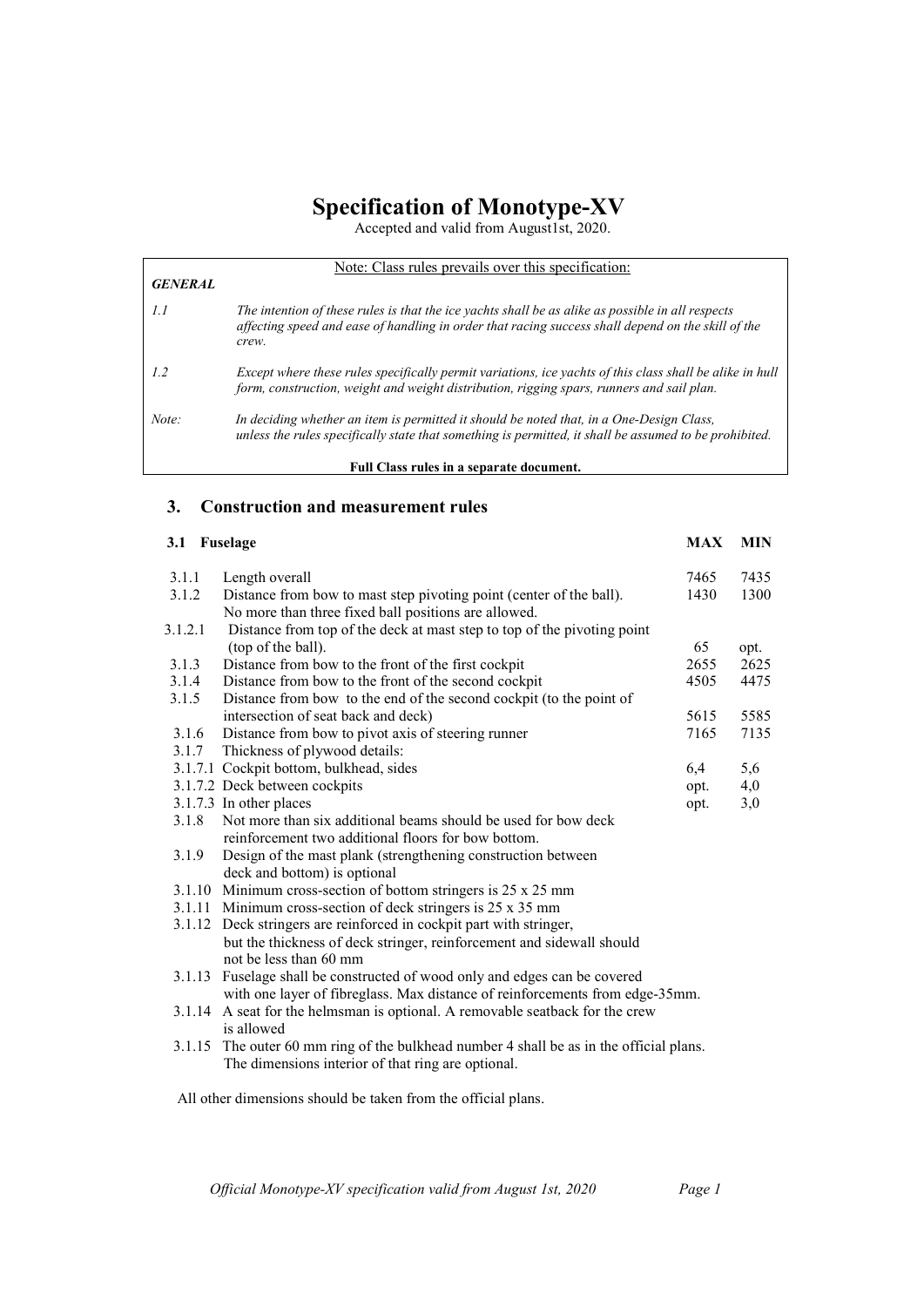# **Specification of Monotype-XV**

Accepted and valid from August1st, 2020.

|                | Note: Class rules prevails over this specification:                                                                                                                                                              |
|----------------|------------------------------------------------------------------------------------------------------------------------------------------------------------------------------------------------------------------|
| <b>GENERAL</b> |                                                                                                                                                                                                                  |
| 1.1            | The intention of these rules is that the ice yachts shall be as alike as possible in all respects<br>affecting speed and ease of handling in order that racing success shall depend on the skill of the<br>crew. |
| 1.2            | Except where these rules specifically permit variations, ice yachts of this class shall be alike in hull<br>form, construction, weight and weight distribution, rigging spars, runners and sail plan.            |
| Note:          | In deciding whether an item is permitted it should be noted that, in a One-Design Class,<br>unless the rules specifically state that something is permitted, it shall be assumed to be prohibited.               |
|                | Full Class rules in a separate document.                                                                                                                                                                         |

# **3. Construction and measurement rules**

## **3.1 Fuselage MAX MIN** 3.1.1 Length overall 7465 7435<br>3.1.2 Distance from bow to mast step pivoting point (center of the ball). 1430 1300 Distance from bow to mast step pivoting point (center of the ball). 1430 1300 No more than three fixed ball positions are allowed. 3.1.2.1 Distance from top of the deck at mast step to top of the pivoting point (top of the ball). 65 opt. 3.1.3 Distance from bow to the front of the first cockpit 2655 2625 3.1.4 Distance from bow to the front of the second cockpit 4505 4475 3.1.5 Distance from bow to the end of the second cockpit (to the point of intersection of seat back and deck) 5615 5585 3.1.6 Distance from bow to pivot axis of steering runner 7165 7135 3.1.7 Thickness of plywood details: 3.1.7.1 Cockpit bottom, bulkhead, sides 6,4 5,6 3.1.7.2 Deck between cockpits opt. 4,0 3.1.7.3 In other places opt. 3,0 3.1.8 Not more than six additional beams should be used for bow deck reinforcement two additional floors for bow bottom. 3.1.9 Design of the mast plank (strengthening construction between deck and bottom) is optional 3.1.10 Minimum cross-section of bottom stringers is 25 x 25 mm 3.1.11 Minimum cross-section of deck stringers is 25 x 35 mm 3.1.12 Deck stringers are reinforced in cockpit part with stringer, but the thickness of deck stringer, reinforcement and sidewall should not be less than 60 mm 3.1.13 Fuselage shall be constructed of wood only and edges can be covered with one layer of fibreglass. Max distance of reinforcements from edge-35mm. 3.1.14 A seat for the helmsman is optional. A removable seatback for the crew is allowed

3.1.15 The outer 60 mm ring of the bulkhead number 4 shall be as in the official plans. The dimensions interior of that ring are optional.

All other dimensions should be taken from the official plans.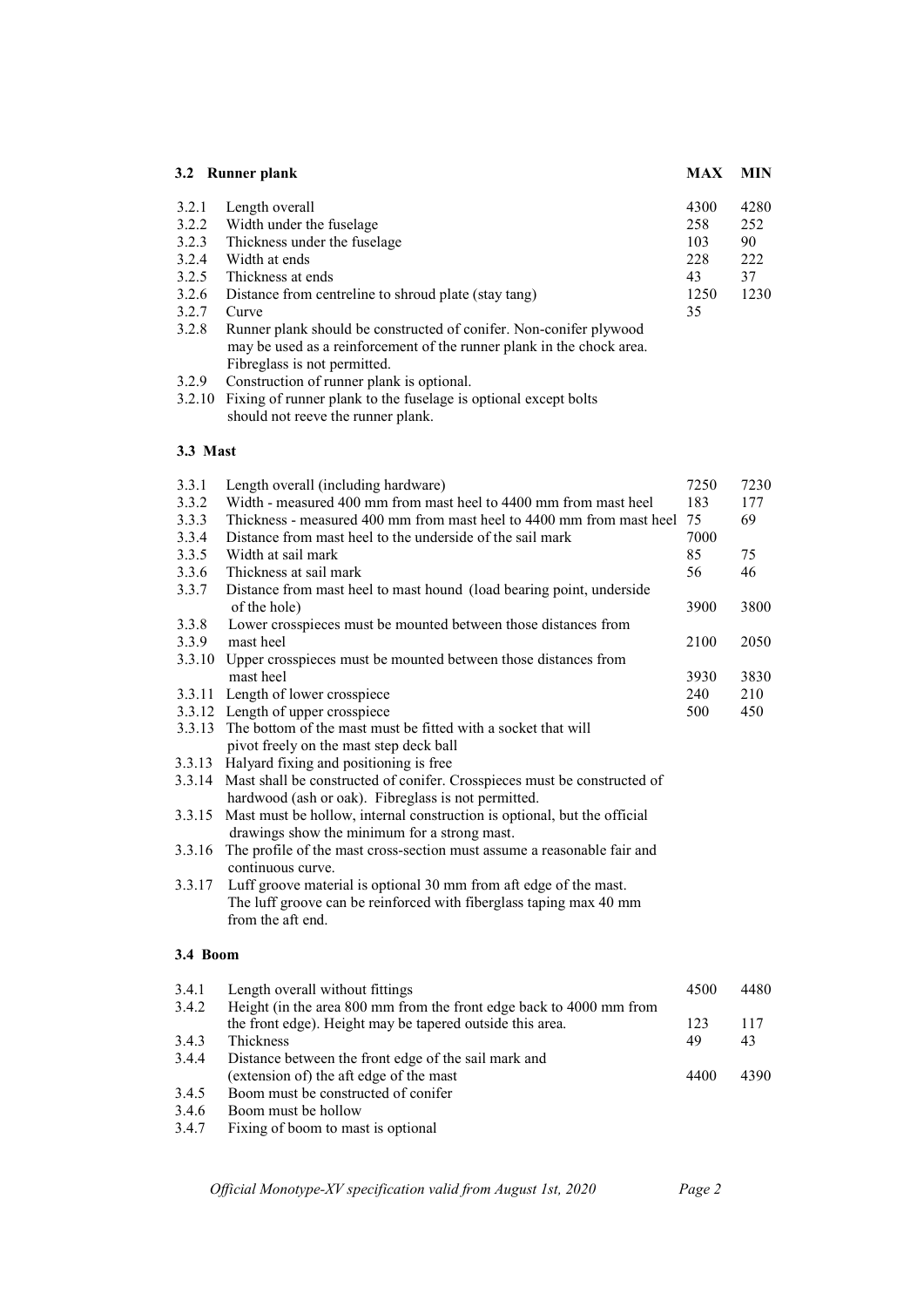| 3.2 Runner plank |                                                                                                                                                                             | <b>MAX</b> | <b>MIN</b> |
|------------------|-----------------------------------------------------------------------------------------------------------------------------------------------------------------------------|------------|------------|
| 3.2.1            | Length overall                                                                                                                                                              | 4300       | 4280       |
| 3.2.2            | Width under the fuselage                                                                                                                                                    | 258        | 252        |
| 3.2.3            | Thickness under the fuselage                                                                                                                                                | 103        | 90         |
| 3.2.4            | Width at ends                                                                                                                                                               | 228        | 222        |
| 3.2.5            | Thickness at ends                                                                                                                                                           | 43         | 37         |
| 3.2.6            | Distance from centreline to shroud plate (stay tang)                                                                                                                        | 1250       | 1230       |
| 3.2.7            | Curve                                                                                                                                                                       | 35         |            |
| 3.2.8            | Runner plank should be constructed of conifer. Non-conifer plywood<br>may be used as a reinforcement of the runner plank in the chock area.<br>Fibreglass is not permitted. |            |            |
| 3.2.9            | Construction of runner plank is optional.                                                                                                                                   |            |            |

# **3.3 Mast**

| 3.3.1    | Length overall (including hardware)                                      | 7250 | 7230 |
|----------|--------------------------------------------------------------------------|------|------|
| 3.3.2    | Width - measured 400 mm from mast heel to 4400 mm from mast heel         | 183  | 177  |
| 3.3.3    | Thickness - measured 400 mm from mast heel to 4400 mm from mast heel     | 75   | 69   |
| 3.3.4    | Distance from mast heel to the underside of the sail mark                | 7000 |      |
| 3.3.5    | Width at sail mark                                                       | 85   | 75   |
| 3.3.6    | Thickness at sail mark                                                   | 56   | 46   |
| 3.3.7    | Distance from mast heel to mast hound (load bearing point, underside     |      |      |
|          | of the hole)                                                             | 3900 | 3800 |
| 3.3.8    | Lower crosspieces must be mounted between those distances from           |      |      |
| 3.3.9    | mast heel                                                                | 2100 | 2050 |
|          | 3.3.10 Upper crosspieces must be mounted between those distances from    |      |      |
|          | mast heel                                                                | 3930 | 3830 |
|          | 3.3.11 Length of lower crosspiece                                        | 240  | 210  |
|          | 3.3.12 Length of upper crosspiece                                        | 500  | 450  |
| 3.3.13   | The bottom of the mast must be fitted with a socket that will            |      |      |
|          | pivot freely on the mast step deck ball                                  |      |      |
| 3.3.13   | Halyard fixing and positioning is free                                   |      |      |
| 3.3.14   | Mast shall be constructed of conifer. Crosspieces must be constructed of |      |      |
|          | hardwood (ash or oak). Fibreglass is not permitted.                      |      |      |
| 3.3.15   | Mast must be hollow, internal construction is optional, but the official |      |      |
|          | drawings show the minimum for a strong mast.                             |      |      |
| 3.3.16   | The profile of the mast cross-section must assume a reasonable fair and  |      |      |
|          | continuous curve.                                                        |      |      |
| 3.3.17   | Luff groove material is optional 30 mm from aft edge of the mast.        |      |      |
|          | The luff groove can be reinforced with fiberglass taping max 40 mm       |      |      |
|          | from the aft end.                                                        |      |      |
|          |                                                                          |      |      |
| 3.4 Boom |                                                                          |      |      |
| 3.4.1    | Length overall without fittings                                          | 4500 | 4480 |
| 3.4.2    | Height (in the area 800 mm from the front edge back to 4000 mm from      |      |      |
|          | the front edge). Height may be tapered outside this area.                | 123  | 117  |
| 3.4.3    | Thickness                                                                | 49   | 43   |
| 3.4.4    | Distance between the front edge of the sail mark and                     |      |      |
|          | (extension of) the aft edge of the mast                                  | 4400 | 4390 |
| 3.4.5    | Boom must be constructed of conifer                                      |      |      |
| 3.4.6    | Boom must be hollow                                                      |      |      |
|          |                                                                          |      |      |

3.4.7 Fixing of boom to mast is optional

<sup>3.2.10</sup> Fixing of runner plank to the fuselage is optional except bolts should not reeve the runner plank.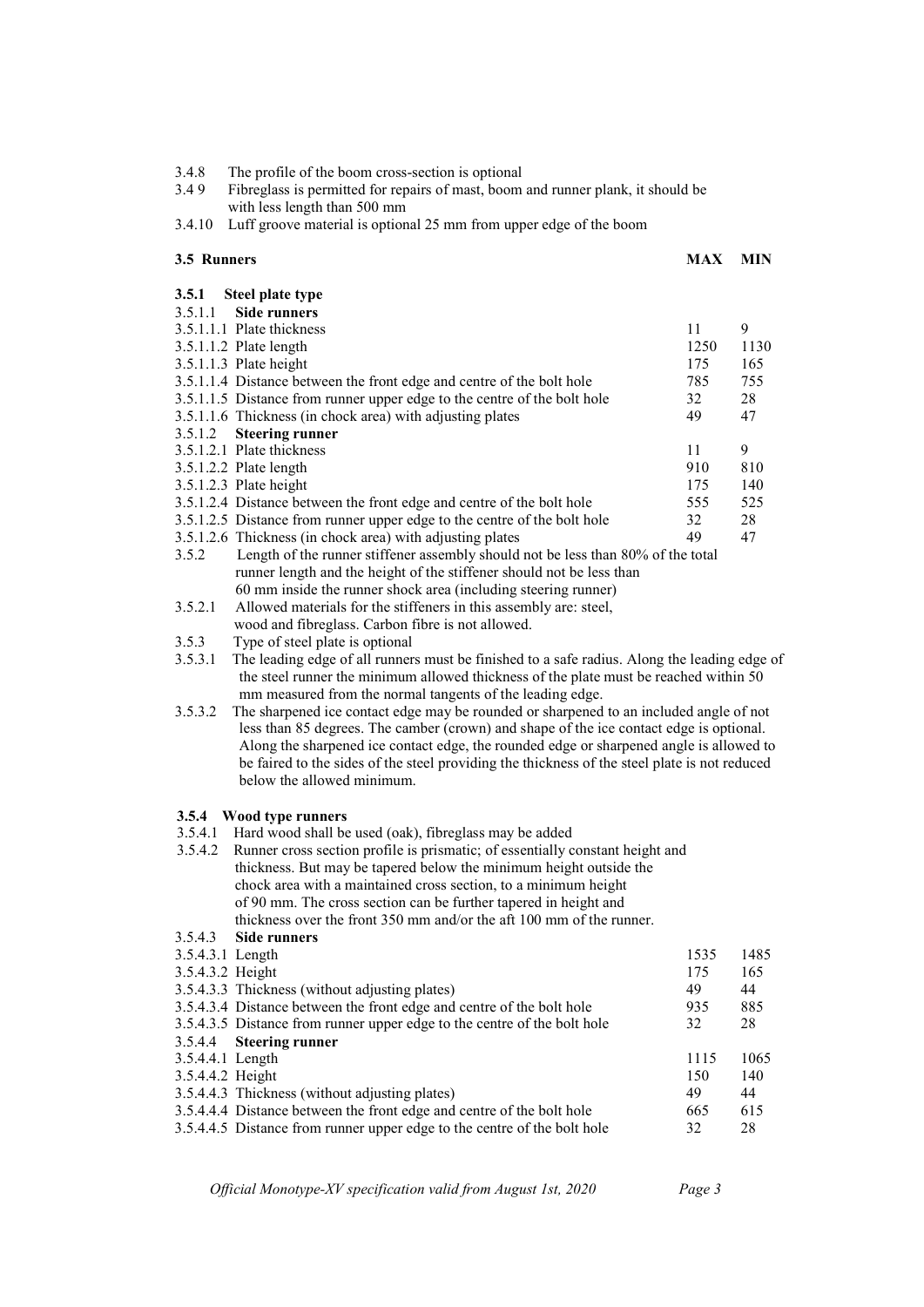| 3.4.8 |  | The profile of the boom cross-section is optional |  |
|-------|--|---------------------------------------------------|--|
|       |  |                                                   |  |

3.4 9 Fibreglass is permitted for repairs of mast, boom and runner plank, it should be with less length than 500 mm

3.4.10 Luff groove material is optional 25 mm from upper edge of the boom

#### **3.5 Runners MAX MIN**

| 3.5.1 | Steel plate type                                                                 |      |      |
|-------|----------------------------------------------------------------------------------|------|------|
|       | $3.5.1.1$ Side runners                                                           |      |      |
|       | 3.5.1.1.1 Plate thickness                                                        | 11   | 9    |
|       | $3.5.1.1.2$ Plate length                                                         | 1250 | 1130 |
|       | $3.5.1.1.3$ Plate height                                                         | 175  | 165  |
|       | 3.5.1.1.4 Distance between the front edge and centre of the bolt hole            | 785  | 755  |
|       | 3.5.1.1.5 Distance from runner upper edge to the centre of the bolt hole         | 32   | 28   |
|       | 3.5.1.1.6 Thickness (in chock area) with adjusting plates                        | 49   | 47   |
|       | 3.5.1.2 Steering runner                                                          |      |      |
|       | 3.5.1.2.1 Plate thickness                                                        | 11   | 9    |
|       | $3.5.1.2.2$ Plate length                                                         | 910  | 810  |
|       | $3.5.1.2.3$ Plate height                                                         | 175  | 140  |
|       | 3.5.1.2.4 Distance between the front edge and centre of the bolt hole            | 555  | 525  |
|       | 3.5.1.2.5 Distance from runner upper edge to the centre of the bolt hole         | 32   | 28   |
|       | 3.5.1.2.6 Thickness (in chock area) with adjusting plates                        | 49   | 47   |
| 3.5.2 | Length of the runner stiffener assembly should not be less than 80% of the total |      |      |
|       | runner length and the height of the stiffener should not be less than            |      |      |

60 mm inside the runner shock area (including steering runner)<br>3.5.2.1 Allowed materials for the stiffeners in this assembly are: steel,

Allowed materials for the stiffeners in this assembly are: steel,

wood and fibreglass. Carbon fibre is not allowed.

3.5.3 Type of steel plate is optional

3.5.3.1 The leading edge of all runners must be finished to a safe radius. Along the leading edge of the steel runner the minimum allowed thickness of the plate must be reached within 50 mm measured from the normal tangents of the leading edge.

3.5.3.2 The sharpened ice contact edge may be rounded or sharpened to an included angle of not less than 85 degrees. The camber (crown) and shape of the ice contact edge is optional. Along the sharpened ice contact edge, the rounded edge or sharpened angle is allowed to be faired to the sides of the steel providing the thickness of the steel plate is not reduced below the allowed minimum.

### **3.5.4 Wood type runners**

3.5.4.1 Hard wood shall be used (oak), fibreglass may be added

|                  | 3.5.4.2 Runner cross section profile is prismatic; of essentially constant height and |      |      |
|------------------|---------------------------------------------------------------------------------------|------|------|
|                  | thickness. But may be tapered below the minimum height outside the                    |      |      |
|                  | chock area with a maintained cross section, to a minimum height                       |      |      |
|                  | of 90 mm. The cross section can be further tapered in height and                      |      |      |
|                  | thickness over the front 350 mm and/or the aft 100 mm of the runner.                  |      |      |
| 3.5.4.3          | <b>Side runners</b>                                                                   |      |      |
| 3.5.4.3.1 Length |                                                                                       | 1535 | 1485 |
| 3.5.4.3.2 Height |                                                                                       | 175  | 165  |
|                  | 3.5.4.3.3 Thickness (without adjusting plates)                                        | 49   | 44   |
|                  | 3.5.4.3.4 Distance between the front edge and centre of the bolt hole                 | 935  | 885  |
|                  | 3.5.4.3.5 Distance from runner upper edge to the centre of the bolt hole              | 32   | 28   |
|                  | 3.5.4.4 Steering runner                                                               |      |      |
| 3.5.4.4.1 Length |                                                                                       | 1115 | 1065 |
| 3.5.4.4.2 Height |                                                                                       | 150  | 140  |
|                  | 3.5.4.4.3 Thickness (without adjusting plates)                                        | 49   | 44   |
|                  | 3.5.4.4.4 Distance between the front edge and centre of the bolt hole                 | 665  | 615  |
|                  | 3.5.4.4.5 Distance from runner upper edge to the centre of the bolt hole              | 32   | 28   |
|                  |                                                                                       |      |      |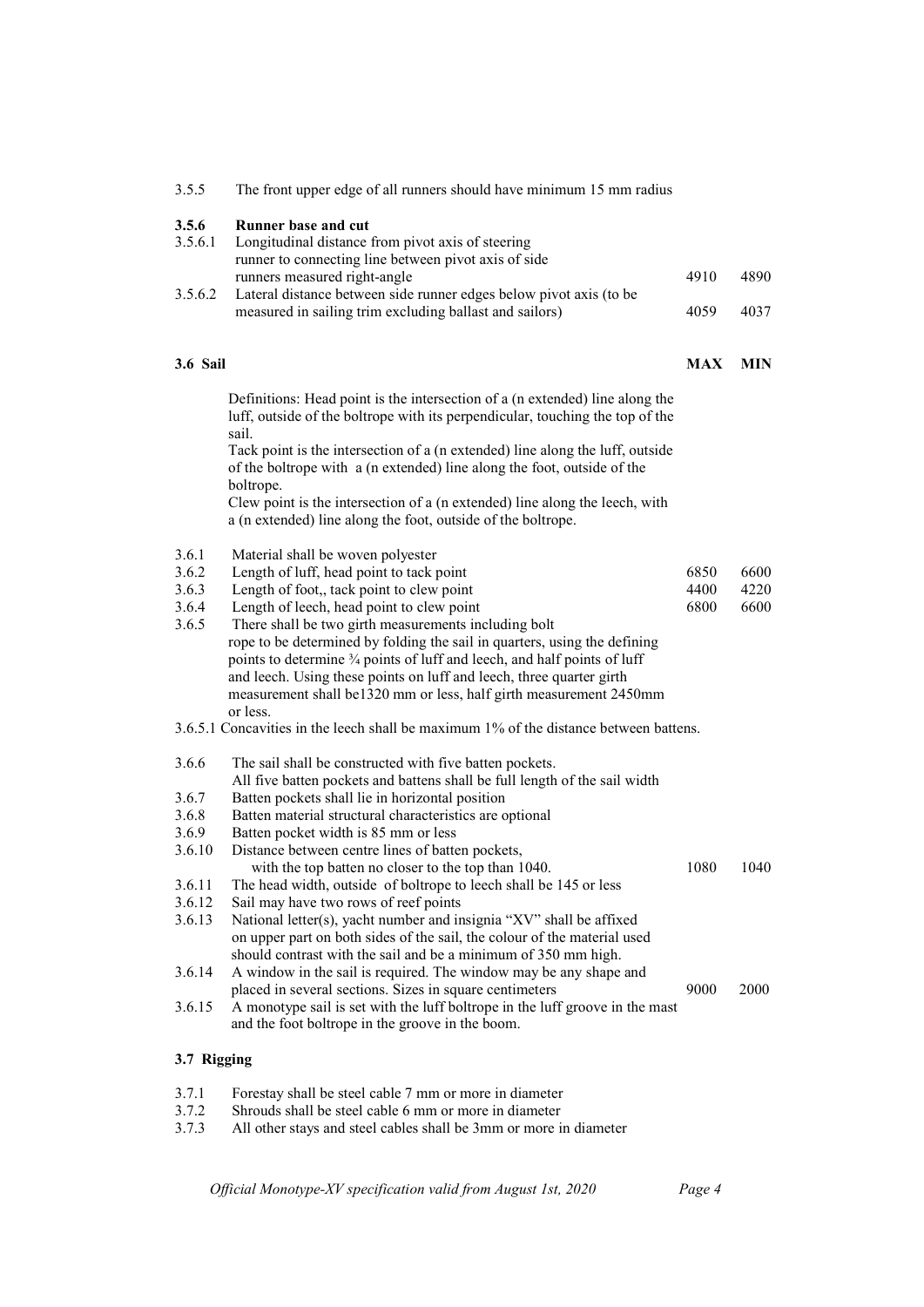| 3.5.5            | The front upper edge of all runners should have minimum 15 mm radius                                                                                                   |            |            |
|------------------|------------------------------------------------------------------------------------------------------------------------------------------------------------------------|------------|------------|
| 3.5.6<br>3.5.6.1 | <b>Runner base and cut</b><br>Longitudinal distance from pivot axis of steering<br>runner to connecting line between pivot axis of side                                |            |            |
|                  | runners measured right-angle                                                                                                                                           | 4910       | 4890       |
| 3.5.6.2          | Lateral distance between side runner edges below pivot axis (to be<br>measured in sailing trim excluding ballast and sailors)                                          | 4059       | 4037       |
| <b>3.6 Sail</b>  |                                                                                                                                                                        | <b>MAX</b> | <b>MIN</b> |
|                  | Definitions: Head point is the intersection of a (n extended) line along the<br>luff, outside of the boltrope with its perpendicular, touching the top of the<br>sail. |            |            |
|                  | Tack point is the intersection of a (n extended) line along the luff, outside<br>of the boltrope with a (n extended) line along the foot, outside of the<br>boltrope.  |            |            |
|                  | Clew point is the intersection of a (n extended) line along the leech, with<br>a (n extended) line along the foot, outside of the boltrope.                            |            |            |
| 3.6.1            | Material shall be woven polyester                                                                                                                                      |            |            |
| 3.6.2            | Length of luff, head point to tack point                                                                                                                               | 6850       | 6600       |
| 3.6.3            | Length of foot,, tack point to clew point                                                                                                                              | 4400       | 4220       |
| 3.6.4            | Length of leech, head point to clew point                                                                                                                              | 6800       | 6600       |
| 3.6.5            | There shall be two girth measurements including bolt<br>rope to be determined by folding the sail in quarters, using the defining                                      |            |            |
|                  | points to determine 3/4 points of luff and leech, and half points of luff                                                                                              |            |            |
|                  | and leech. Using these points on luff and leech, three quarter girth                                                                                                   |            |            |
|                  | measurement shall be1320 mm or less, half girth measurement 2450mm                                                                                                     |            |            |
|                  | or less.                                                                                                                                                               |            |            |
|                  | 3.6.5.1 Concavities in the leech shall be maximum 1% of the distance between battens.                                                                                  |            |            |
| 3.6.6            | The sail shall be constructed with five batten pockets.<br>All five batten pockets and battens shall be full length of the sail width                                  |            |            |
| 3.6.7            | Batten pockets shall lie in horizontal position                                                                                                                        |            |            |
| 3.6.8            | Batten material structural characteristics are optional                                                                                                                |            |            |
| 3.6.9            | Batten pocket width is 85 mm or less                                                                                                                                   |            |            |
| 3.6.10           | Distance between centre lines of batten pockets,<br>with the top batten no closer to the top than 1040.                                                                | 1080       | 1040       |
| 3.6.11           | The head width, outside of boltrope to leech shall be 145 or less                                                                                                      |            |            |
| 3.6.12           | Sail may have two rows of reef points                                                                                                                                  |            |            |
| 3.6.13           | National letter(s), yacht number and insignia "XV" shall be affixed<br>on upper part on both sides of the sail, the colour of the material used                        |            |            |
|                  | should contrast with the sail and be a minimum of 350 mm high.                                                                                                         |            |            |
| 3.6.14           | A window in the sail is required. The window may be any shape and                                                                                                      |            |            |
| 3.6.15           | placed in several sections. Sizes in square centimeters                                                                                                                | 9000       | 2000       |
|                  | A monotype sail is set with the luff boltrope in the luff groove in the mast<br>and the foot boltrope in the groove in the boom.                                       |            |            |
| 3.7 Rigging      |                                                                                                                                                                        |            |            |
| 3.7.1            | Forestay shall be steel cable 7 mm or more in diameter                                                                                                                 |            |            |
| 3.7.2            | Shrouds shall be steel cable 6 mm or more in diameter                                                                                                                  |            |            |
| 3.7.3            | All other stays and steel cables shall be 3mm or more in diameter                                                                                                      |            |            |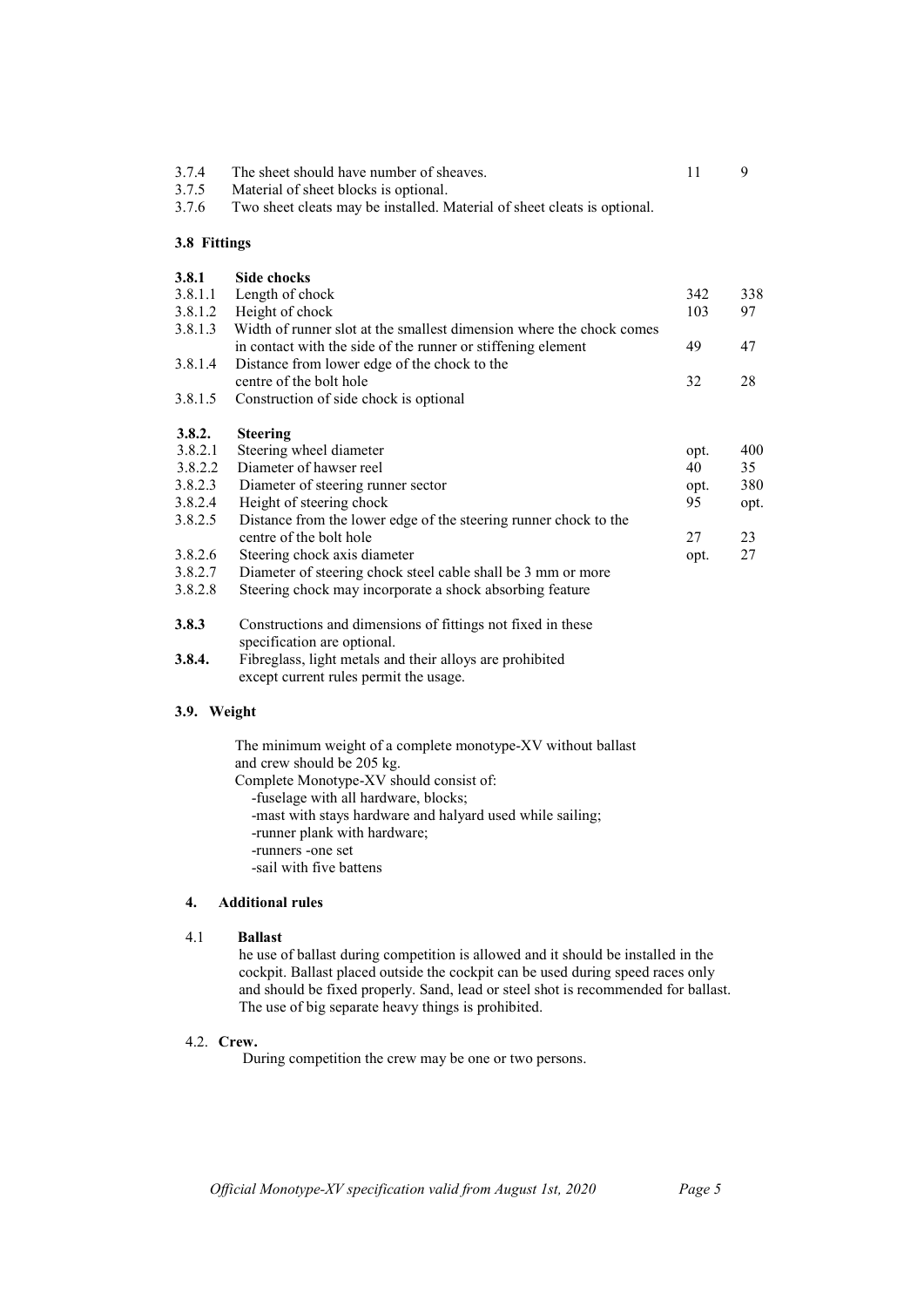| 3.7.4 The sheet should have number of sheaves. |  |
|------------------------------------------------|--|
| 3.7.5 Material of sheet blocks is optional.    |  |

3.7.6 Two sheet cleats may be installed. Material of sheet cleats is optional.

#### **3.8 Fittings**

| Length of chock<br>Height of chock<br>Width of runner slot at the smallest dimension where the chock comes<br>in contact with the side of the runner or stiffening element<br>Distance from lower edge of the chock to the<br>centre of the bolt hole<br>Construction of side chock is optional<br><b>Steering</b><br>Steering wheel diameter | 342<br>103<br>49<br>32<br>opt. | 338<br>97<br>47<br>28<br>400 |
|-----------------------------------------------------------------------------------------------------------------------------------------------------------------------------------------------------------------------------------------------------------------------------------------------------------------------------------------------|--------------------------------|------------------------------|
|                                                                                                                                                                                                                                                                                                                                               |                                |                              |
|                                                                                                                                                                                                                                                                                                                                               |                                |                              |
|                                                                                                                                                                                                                                                                                                                                               |                                |                              |
|                                                                                                                                                                                                                                                                                                                                               |                                |                              |
|                                                                                                                                                                                                                                                                                                                                               |                                |                              |
|                                                                                                                                                                                                                                                                                                                                               |                                |                              |
|                                                                                                                                                                                                                                                                                                                                               |                                |                              |
|                                                                                                                                                                                                                                                                                                                                               |                                |                              |
|                                                                                                                                                                                                                                                                                                                                               |                                |                              |
| Diameter of hawser reel                                                                                                                                                                                                                                                                                                                       | 40                             | 35                           |
| Diameter of steering runner sector                                                                                                                                                                                                                                                                                                            | opt.                           | 380                          |
| Height of steering chock                                                                                                                                                                                                                                                                                                                      | 95                             | opt.                         |
| Distance from the lower edge of the steering runner chock to the                                                                                                                                                                                                                                                                              |                                |                              |
| centre of the bolt hole                                                                                                                                                                                                                                                                                                                       | 27                             | 23                           |
| Steering chock axis diameter                                                                                                                                                                                                                                                                                                                  | opt.                           | 27                           |
|                                                                                                                                                                                                                                                                                                                                               |                                |                              |
| Diameter of steering chock steel cable shall be 3 mm or more                                                                                                                                                                                                                                                                                  |                                |                              |
|                                                                                                                                                                                                                                                                                                                                               |                                |                              |

- **3.8.3** Constructions and dimensions of fittings not fixed in these specification are optional.<br>3.8.4. Fibreglass, light metals an
- **3.8.4.** Fibreglass, light metals and their alloys are prohibited except current rules permit the usage.

# **3.9. Weight**

 The minimum weight of a complete monotype-XV without ballast and crew should be 205 kg. Complete Monotype-XV should consist of: -fuselage with all hardware, blocks; -mast with stays hardware and halyard used while sailing; -runner plank with hardware; -runners -one set -sail with five battens

# **4. Additional rules**

### 4.1 **Ballast**

 he use of ballast during competition is allowed and it should be installed in the cockpit. Ballast placed outside the cockpit can be used during speed races only and should be fixed properly. Sand, lead or steel shot is recommended for ballast. The use of big separate heavy things is prohibited.

#### 4.2. **Crew.**

During competition the crew may be one or two persons.